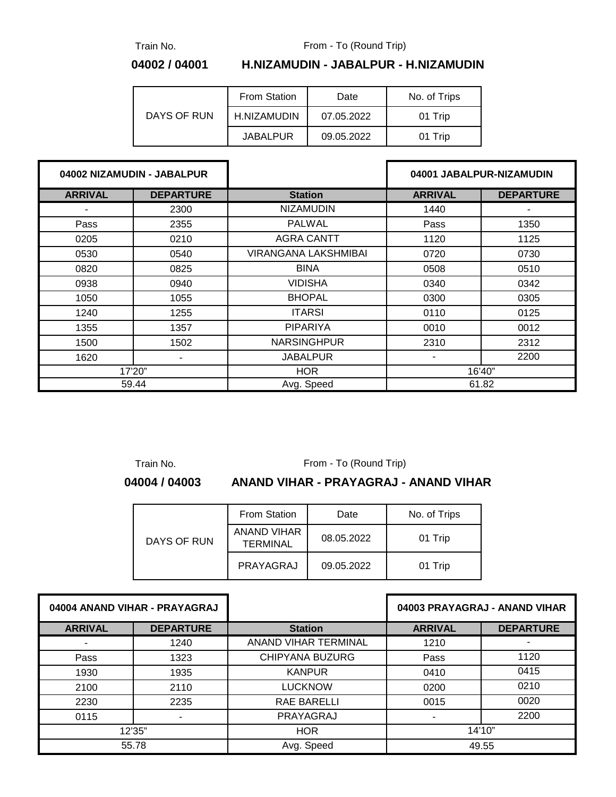Train No.

From - To (Round Trip)

#### **04002 / 04001 H.NIZAMUDIN - JABALPUR - H.NIZAMUDIN**

| DAYS OF RUN | From Station<br>Date |            | No. of Trips |  |
|-------------|----------------------|------------|--------------|--|
|             | H.NIZAMUDIN          | 07.05.2022 | 01 Trip      |  |
|             | <b>JABALPUR</b>      | 09.05.2022 | 01 Trip      |  |

| 04002 NIZAMUDIN - JABALPUR |                  |                             |                | 04001 JABALPUR-NIZAMUDIN |
|----------------------------|------------------|-----------------------------|----------------|--------------------------|
| <b>ARRIVAL</b>             | <b>DEPARTURE</b> | <b>Station</b>              | <b>ARRIVAL</b> | <b>DEPARTURE</b>         |
|                            | 2300             | <b>NIZAMUDIN</b>            | 1440           |                          |
| Pass                       | 2355             | <b>PALWAL</b>               | Pass           | 1350                     |
| 0205                       | 0210             | <b>AGRA CANTT</b>           | 1120           | 1125                     |
| 0530                       | 0540             | <b>VIRANGANA LAKSHMIBAI</b> | 0720           | 0730                     |
| 0820                       | 0825             | <b>BINA</b>                 | 0508           | 0510                     |
| 0938                       | 0940             | <b>VIDISHA</b>              | 0340           | 0342                     |
| 1050                       | 1055             | <b>BHOPAL</b>               | 0300           | 0305                     |
| 1240                       | 1255             | <b>ITARSI</b>               | 0110           | 0125                     |
| 1355                       | 1357             | <b>PIPARIYA</b>             | 0010           | 0012                     |
| 1500                       | 1502             | <b>NARSINGHPUR</b>          | 2310           | 2312                     |
| 1620                       | ۰.               | <b>JABALPUR</b>             |                | 2200                     |
|                            | 17'20"           | <b>HOR</b>                  |                | 16'40"                   |
| 59.44                      |                  | Avg. Speed                  |                | 61.82                    |

Train No.

From - To (Round Trip)

#### **04004 / 04003 ANAND VIHAR - PRAYAGRAJ - ANAND VIHAR**

| DAYS OF RUN | <b>From Station</b><br>Date    |            | No. of Trips |  |
|-------------|--------------------------------|------------|--------------|--|
|             | ANAND VIHAR<br><b>TERMINAL</b> | 08.05.2022 | 01 Trip      |  |
|             | PRAYAGRAJ                      | 09.05.2022 | 01 Trip      |  |

| 04004 ANAND VIHAR - PRAYAGRAJ |                  |                        | 04003 PRAYAGRAJ - ANAND VIHAR |                  |
|-------------------------------|------------------|------------------------|-------------------------------|------------------|
| <b>ARRIVAL</b>                | <b>DEPARTURE</b> | <b>Station</b>         | <b>ARRIVAL</b>                | <b>DEPARTURE</b> |
|                               | 1240             | ANAND VIHAR TERMINAL   | 1210                          |                  |
| Pass                          | 1323             | <b>CHIPYANA BUZURG</b> | Pass                          | 1120             |
| 1930                          | 1935             | <b>KANPUR</b>          | 0410                          | 0415             |
| 2100                          | 2110             | <b>LUCKNOW</b>         | 0200                          | 0210             |
| 2230<br>2235                  |                  | <b>RAE BARELLI</b>     | 0015                          | 0020             |
| 0115                          |                  | PRAYAGRAJ              |                               | 2200             |
| 12'35"                        |                  | <b>HOR</b>             | 14'10''                       |                  |
| 55.78                         |                  | Avg. Speed             | 49.55                         |                  |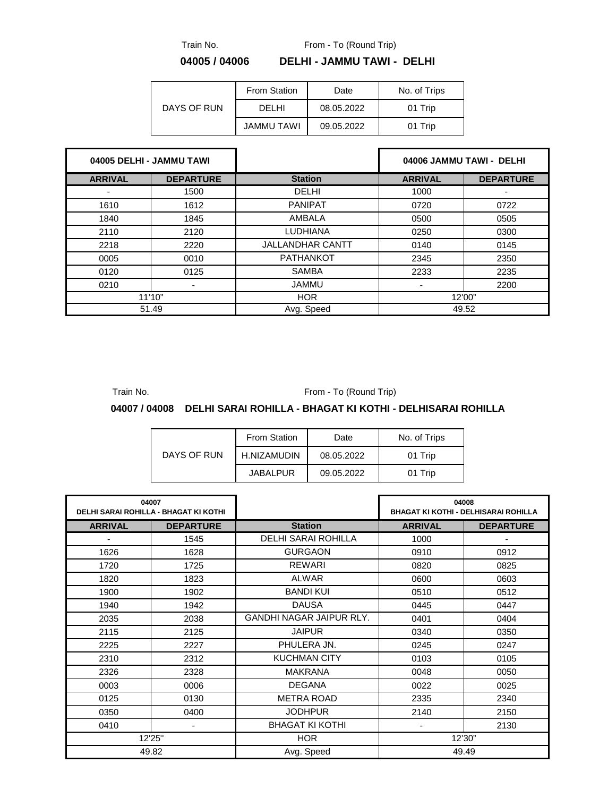From - To (Round Trip)

Train No.

### **04005 / 04006 DELHI - JAMMU TAWI - DELHI**

| DAYS OF RUN | <b>From Station</b> | Date       |         |
|-------------|---------------------|------------|---------|
|             | DELHI               | 08.05.2022 | 01 Trip |
|             | <b>JAMMU TAWI</b>   | 09.05.2022 | 01 Trip |

| 04005 DELHI - JAMMU TAWI |                  |                         |                | 04006 JAMMU TAWI - DELHI |
|--------------------------|------------------|-------------------------|----------------|--------------------------|
| <b>ARRIVAL</b>           | <b>DEPARTURE</b> | <b>Station</b>          | <b>ARRIVAL</b> | <b>DEPARTURE</b>         |
|                          | 1500             | DELHI                   | 1000           |                          |
| 1610                     | 1612             | <b>PANIPAT</b>          | 0720           | 0722                     |
| 1840                     | 1845             | AMBALA                  | 0500           | 0505                     |
| 2110                     | 2120             | <b>LUDHIANA</b><br>0250 |                | 0300                     |
| 2218                     | 2220             | <b>JALLANDHAR CANTT</b> | 0140           | 0145                     |
| 0005                     | 0010             | <b>PATHANKOT</b>        | 2345           | 2350                     |
| 0120                     | 0125             | <b>SAMBA</b><br>2233    |                | 2235                     |
| 0210                     |                  | <b>JAMMU</b>            | 2200           |                          |
| 11'10"                   |                  | <b>HOR</b>              |                | 12'00"                   |
| 51.49                    |                  | Avg. Speed              | 49.52          |                          |

Train No.

From - To (Round Trip)

#### **04007 / 04008 DELHI SARAI ROHILLA - BHAGAT KI KOTHI - DELHISARAI ROHILLA**

| DAYS OF RUN | From Station    | Date       | No. of Trips |  |
|-------------|-----------------|------------|--------------|--|
|             | H.NIZAMUDIN     | 08.05.2022 | 01 Trip      |  |
|             | <b>JABALPUR</b> | 09.05.2022 | 01 Trip      |  |

| 04007<br><b>DELHI SARAI ROHILLA - BHAGAT KI KOTHI</b> |        |                                 | 04008<br><b>BHAGAT KI KOTHI - DELHISARAI ROHILLA</b> |                  |
|-------------------------------------------------------|--------|---------------------------------|------------------------------------------------------|------------------|
| <b>ARRIVAL</b><br><b>DEPARTURE</b>                    |        | <b>Station</b>                  | <b>ARRIVAL</b>                                       | <b>DEPARTURE</b> |
| ٠                                                     | 1545   | DELHI SARAI ROHILLA             | 1000                                                 |                  |
| 1626                                                  | 1628   | <b>GURGAON</b>                  | 0910                                                 | 0912             |
| 1720                                                  | 1725   | <b>REWARI</b>                   | 0820                                                 | 0825             |
| 1820                                                  | 1823   | <b>ALWAR</b>                    | 0600                                                 | 0603             |
| 1900                                                  | 1902   | <b>BANDI KUI</b>                | 0510                                                 | 0512             |
| 1940                                                  | 1942   | <b>DAUSA</b>                    | 0445                                                 | 0447             |
| 2035                                                  | 2038   | <b>GANDHI NAGAR JAIPUR RLY.</b> | 0401                                                 | 0404             |
| 2115                                                  | 2125   | <b>JAIPUR</b>                   | 0340                                                 | 0350             |
| 2225<br>2227                                          |        | PHULERA JN.                     | 0245                                                 | 0247             |
| 2310<br>2312                                          |        | <b>KUCHMAN CITY</b>             | 0103                                                 | 0105             |
| 2326                                                  | 2328   | <b>MAKRANA</b>                  | 0048                                                 | 0050             |
| 0003                                                  | 0006   | <b>DEGANA</b>                   | 0022                                                 | 0025             |
| 0125                                                  | 0130   | <b>METRA ROAD</b>               | 2335                                                 | 2340             |
| 0350                                                  | 0400   | <b>JODHPUR</b>                  | 2140                                                 | 2150             |
| 0410                                                  | -      | <b>BHAGAT KI KOTHI</b>          | ٠                                                    | 2130             |
|                                                       | 12'25" | <b>HOR</b>                      | 12'30"                                               |                  |
|                                                       | 49.82  | Avg. Speed                      |                                                      | 49.49            |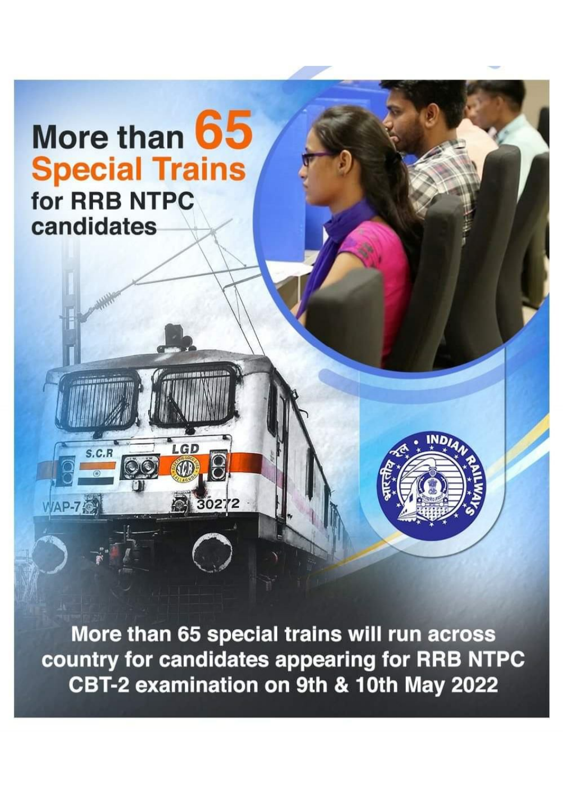# More than 65 **Special Trains** for RRB NTPC candidates

LGD

**COD** E

30272

 $S.C.B$ 

WAP-7

More than 65 special trains will run across country for candidates appearing for RRB NTPC CBT-2 examination on 9th & 10th May 2022